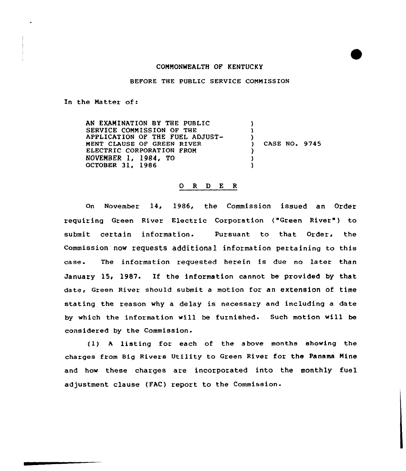

BEFORE THE PUBLIC SERVICE COMMISSION

In the Matter of:

AN EXAMINATION BY THE PUBLIC SERVICE CONNISSION OF THE APPLICAT1ON OF THE FUEL ADJUST-NENT CLAUSE OF GREEN RIVER ELECTRIC CORPORATION FRON NOVEMBER 1, 1984, TO OCTOBER 31, 1986 ) ) ) CASE NO. 9745 ) ) )

## O R D E R

on November 14, 1986, the Commission issued an Order requiring Green River Electric Corporation ("Green River") to submit certain information. Pursuant to that Order, the Commission now requests additional information pertaining to this case- The information requested herein is due no later than January 15, 1987. If the information cannot be provided by that date, Green River should submit a motion for an extension of time stating the reason why a delay is necessary and including a date by which the information will be furnished. Such motion will be considered by the Commission.

(1) <sup>A</sup> listing for each of the above months shoving the charges from Big Rivers Utility to Green River for the Panama Nine and how these charges are incorporated into the monthly fuel adjustment clause (FAC) report to the Commission.